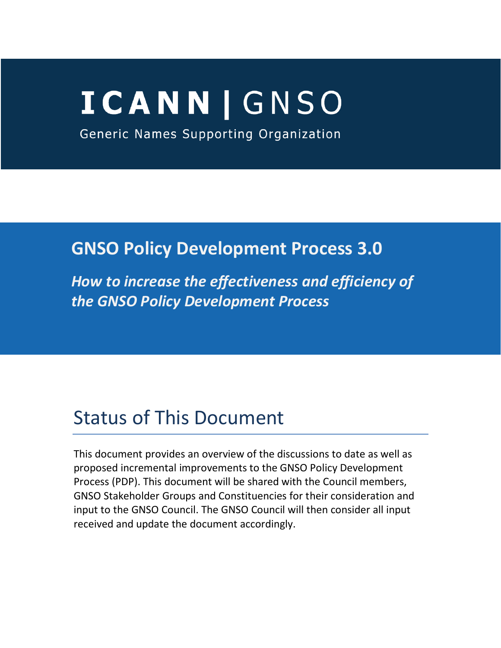# **ICANN | GNSO**

Generic Names Supporting Organization

# **GNSO Policy Development Process 3.0**

*How to increase the effectiveness and efficiency of the GNSO Policy Development Process*

# Status of This Document

This document provides an overview of the discussions to date as well as proposed incremental improvements to the GNSO Policy Development Process (PDP). This document will be shared with the Council members, GNSO Stakeholder Groups and Constituencies for their consideration and input to the GNSO Council. The GNSO Council will then consider all input received and update the document accordingly.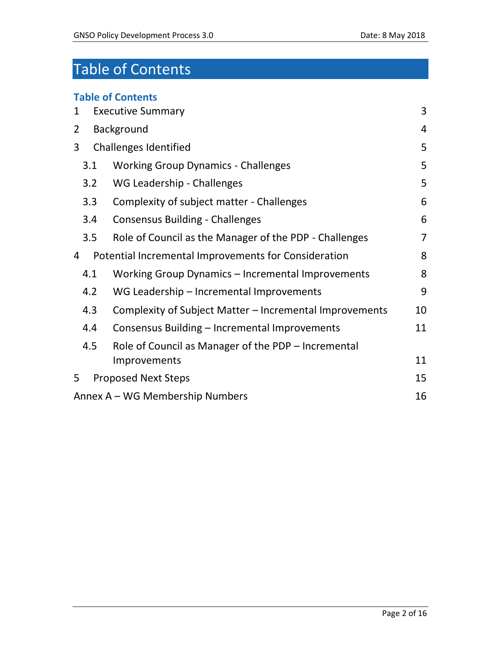# Table of Contents

| <b>Table of Contents</b>                                             |                |  |
|----------------------------------------------------------------------|----------------|--|
| 3<br><b>Executive Summary</b><br>1                                   |                |  |
| Background<br>$\overline{2}$                                         | 4              |  |
| 3<br><b>Challenges Identified</b>                                    | 5              |  |
| <b>Working Group Dynamics - Challenges</b><br>3.1                    | 5              |  |
| 3.2<br>WG Leadership - Challenges                                    | 5              |  |
| 3.3<br>Complexity of subject matter - Challenges                     | 6              |  |
| 6<br>3.4<br><b>Consensus Building - Challenges</b>                   |                |  |
| 3.5<br>Role of Council as the Manager of the PDP - Challenges        | $\overline{7}$ |  |
| Potential Incremental Improvements for Consideration<br>4            |                |  |
| 4.1<br>Working Group Dynamics - Incremental Improvements             | 8              |  |
| 9<br>4.2<br>WG Leadership - Incremental Improvements                 |                |  |
| 4.3<br>Complexity of Subject Matter - Incremental Improvements<br>10 |                |  |
| 4.4<br>11<br>Consensus Building - Incremental Improvements           |                |  |
| 4.5<br>Role of Council as Manager of the PDP – Incremental           |                |  |
| Improvements                                                         | 11             |  |
| 5<br><b>Proposed Next Steps</b>                                      | 15             |  |
| Annex A – WG Membership Numbers                                      | 16             |  |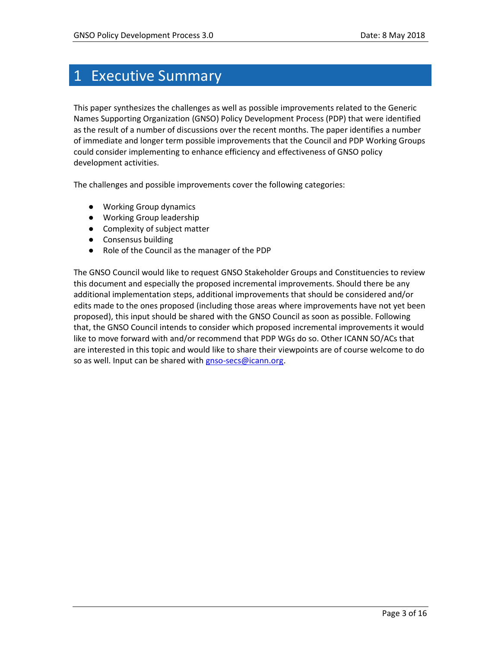## <span id="page-2-0"></span>1 Executive Summary

This paper synthesizes the challenges as well as possible improvements related to the Generic Names Supporting Organization (GNSO) Policy Development Process (PDP) that were identified as the result of a number of discussions over the recent months. The paper identifies a number of immediate and longer term possible improvements that the Council and PDP Working Groups could consider implementing to enhance efficiency and effectiveness of GNSO policy development activities.

The challenges and possible improvements cover the following categories:

- Working Group dynamics
- Working Group leadership
- Complexity of subject matter
- Consensus building
- Role of the Council as the manager of the PDP

The GNSO Council would like to request GNSO Stakeholder Groups and Constituencies to review this document and especially the proposed incremental improvements. Should there be any additional implementation steps, additional improvements that should be considered and/or edits made to the ones proposed (including those areas where improvements have not yet been proposed), this input should be shared with the GNSO Council as soon as possible. Following that, the GNSO Council intends to consider which proposed incremental improvements it would like to move forward with and/or recommend that PDP WGs do so. Other ICANN SO/ACs that are interested in this topic and would like to share their viewpoints are of course welcome to do so as well. Input can be shared with [gnso-secs@icann.org.](mailto:gnso-secs@icann.org)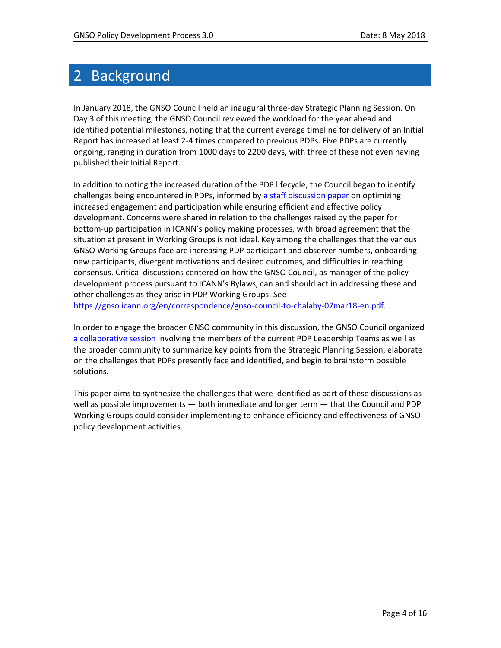## <span id="page-3-0"></span>2 Background

In January 2018, the GNSO Council held an inaugural three-day Strategic Planning Session. On Day 3 of this meeting, the GNSO Council reviewed the workload for the year ahead and identified potential milestones, noting that the current average timeline for delivery of an Initial Report has increased at least 2-4 times compared to previous PDPs. Five PDPs are currently ongoing, ranging in duration from 1000 days to 2200 days, with three of these not even having published their Initial Report.

In addition to noting the increased duration of the PDP lifecycle, the Council began to identify challenges being encountered in PDPs, informed by [a staff discussion paper](https://drive.google.com/open?id=1WbL79RXpkisfAnKOtxpuy_sf466_3XIT) on optimizing increased engagement and participation while ensuring efficient and effective policy development. Concerns were shared in relation to the challenges raised by the paper for bottom-up participation in ICANN's policy making processes, with broad agreement that the situation at present in Working Groups is not ideal. Key among the challenges that the various GNSO Working Groups face are increasing PDP participant and observer numbers, onboarding new participants, divergent motivations and desired outcomes, and difficulties in reaching consensus. Critical discussions centered on how the GNSO Council, as manager of the policy development process pursuant to ICANN's Bylaws, can and should act in addressing these and other challenges as they arise in PDP Working Groups. See

[https://gnso.icann.org/en/correspondence/gnso-council-to-chalaby-07mar18-en.pdf.](https://gnso.icann.org/en/correspondence/gnso-council-to-chalaby-07mar18-en.pdf)

In order to engage the broader GNSO community in this discussion, the GNSO Council organized [a collaborative session](https://61.schedule.icann.org/meetings/647692) involving the members of the current PDP Leadership Teams as well as the broader community to summarize key points from the Strategic Planning Session, elaborate on the challenges that PDPs presently face and identified, and begin to brainstorm possible solutions.

This paper aims to synthesize the challenges that were identified as part of these discussions as well as possible improvements — both immediate and longer term — that the Council and PDP Working Groups could consider implementing to enhance efficiency and effectiveness of GNSO policy development activities.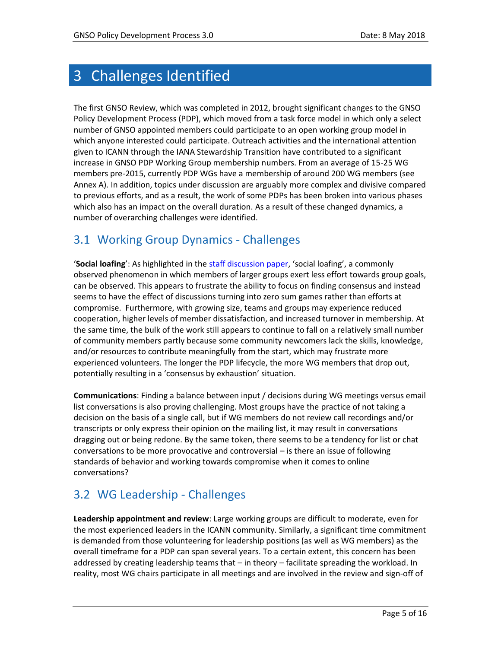# <span id="page-4-0"></span>3 Challenges Identified

The first GNSO Review, which was completed in 2012, brought significant changes to the GNSO Policy Development Process (PDP), which moved from a task force model in which only a select number of GNSO appointed members could participate to an open working group model in which anyone interested could participate. Outreach activities and the international attention given to ICANN through the IANA Stewardship Transition have contributed to a significant increase in GNSO PDP Working Group membership numbers. From an average of 15-25 WG members pre-2015, currently PDP WGs have a membership of around 200 WG members (see Annex A). In addition, topics under discussion are arguably more complex and divisive compared to previous efforts, and as a result, the work of some PDPs has been broken into various phases which also has an impact on the overall duration. As a result of these changed dynamics, a number of overarching challenges were identified.

#### <span id="page-4-1"></span>3.1 Working Group Dynamics - Challenges

'**Social loafing**': As highlighted in the [staff discussion paper](https://drive.google.com/open?id=1WbL79RXpkisfAnKOtxpuy_sf466_3XIT), 'social loafing', a commonly observed phenomenon in which members of larger groups exert less effort towards group goals, can be observed. This appears to frustrate the ability to focus on finding consensus and instead seems to have the effect of discussions turning into zero sum games rather than efforts at compromise. Furthermore, with growing size, teams and groups may experience reduced cooperation, higher levels of member dissatisfaction, and increased turnover in membership. At the same time, the bulk of the work still appears to continue to fall on a relatively small number of community members partly because some community newcomers lack the skills, knowledge, and/or resources to contribute meaningfully from the start, which may frustrate more experienced volunteers. The longer the PDP lifecycle, the more WG members that drop out, potentially resulting in a 'consensus by exhaustion' situation.

**Communications**: Finding a balance between input / decisions during WG meetings versus email list conversations is also proving challenging. Most groups have the practice of not taking a decision on the basis of a single call, but if WG members do not review call recordings and/or transcripts or only express their opinion on the mailing list, it may result in conversations dragging out or being redone. By the same token, there seems to be a tendency for list or chat conversations to be more provocative and controversial – is there an issue of following standards of behavior and working towards compromise when it comes to online conversations?

#### <span id="page-4-2"></span>3.2 WG Leadership - Challenges

**Leadership appointment and review**: Large working groups are difficult to moderate, even for the most experienced leaders in the ICANN community. Similarly, a significant time commitment is demanded from those volunteering for leadership positions (as well as WG members) as the overall timeframe for a PDP can span several years. To a certain extent, this concern has been addressed by creating leadership teams that – in theory – facilitate spreading the workload. In reality, most WG chairs participate in all meetings and are involved in the review and sign-off of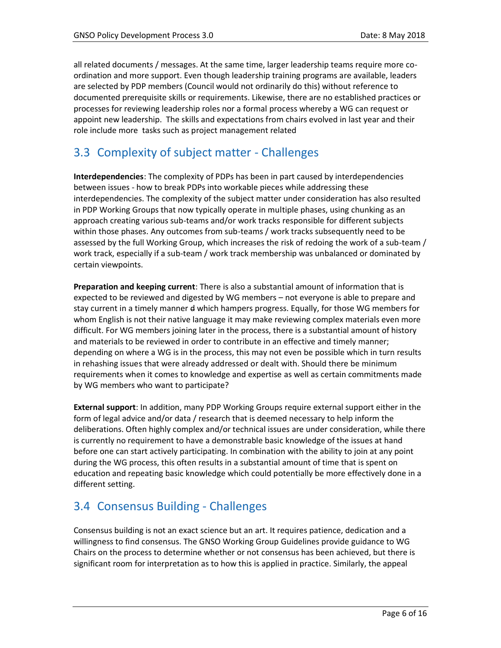all related documents / messages. At the same time, larger leadership teams require more coordination and more support. Even though leadership training programs are available, leaders are selected by PDP members (Council would not ordinarily do this) without reference to documented prerequisite skills or requirements. Likewise, there are no established practices or processes for reviewing leadership roles nor a formal process whereby a WG can request or appoint new leadership. The skills and expectations from chairs evolved in last year and their role include more tasks such as project management related

#### <span id="page-5-0"></span>3.3 Complexity of subject matter - Challenges

**Interdependencies**: The complexity of PDPs has been in part caused by interdependencies between issues - how to break PDPs into workable pieces while addressing these interdependencies. The complexity of the subject matter under consideration has also resulted in PDP Working Groups that now typically operate in multiple phases, using chunking as an approach creating various sub-teams and/or work tracks responsible for different subjects within those phases. Any outcomes from sub-teams / work tracks subsequently need to be assessed by the full Working Group, which increases the risk of redoing the work of a sub-team / work track, especially if a sub-team / work track membership was unbalanced or dominated by certain viewpoints.

**Preparation and keeping current**: There is also a substantial amount of information that is expected to be reviewed and digested by WG members – not everyone is able to prepare and stay current in a timely manner d which hampers progress. Equally, for those WG members for whom English is not their native language it may make reviewing complex materials even more difficult. For WG members joining later in the process, there is a substantial amount of history and materials to be reviewed in order to contribute in an effective and timely manner; depending on where a WG is in the process, this may not even be possible which in turn results in rehashing issues that were already addressed or dealt with. Should there be minimum requirements when it comes to knowledge and expertise as well as certain commitments made by WG members who want to participate?

**External support**: In addition, many PDP Working Groups require external support either in the form of legal advice and/or data / research that is deemed necessary to help inform the deliberations. Often highly complex and/or technical issues are under consideration, while there is currently no requirement to have a demonstrable basic knowledge of the issues at hand before one can start actively participating. In combination with the ability to join at any point during the WG process, this often results in a substantial amount of time that is spent on education and repeating basic knowledge which could potentially be more effectively done in a different setting.

#### <span id="page-5-1"></span>3.4 Consensus Building - Challenges

Consensus building is not an exact science but an art. It requires patience, dedication and a willingness to find consensus. The GNSO Working Group Guidelines provide guidance to WG Chairs on the process to determine whether or not consensus has been achieved, but there is significant room for interpretation as to how this is applied in practice. Similarly, the appeal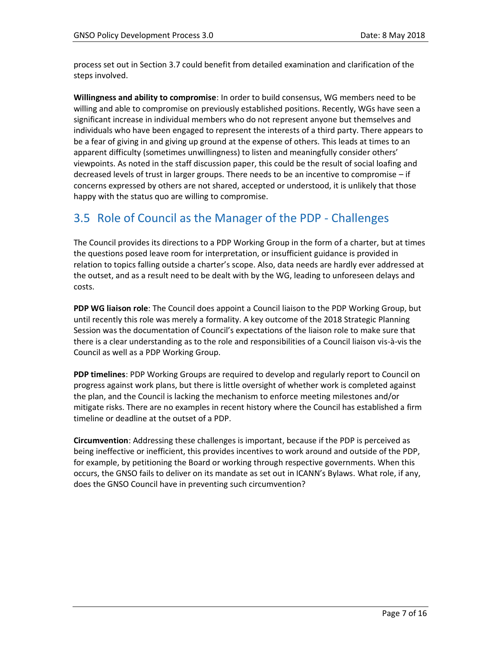process set out in Section 3.7 could benefit from detailed examination and clarification of the steps involved.

**Willingness and ability to compromise**: In order to build consensus, WG members need to be willing and able to compromise on previously established positions. Recently, WGs have seen a significant increase in individual members who do not represent anyone but themselves and individuals who have been engaged to represent the interests of a third party. There appears to be a fear of giving in and giving up ground at the expense of others. This leads at times to an apparent difficulty (sometimes unwillingness) to listen and meaningfully consider others' viewpoints. As noted in the staff discussion paper, this could be the result of social loafing and decreased levels of trust in larger groups. There needs to be an incentive to compromise – if concerns expressed by others are not shared, accepted or understood, it is unlikely that those happy with the status quo are willing to compromise.

#### <span id="page-6-0"></span>3.5 Role of Council as the Manager of the PDP - Challenges

The Council provides its directions to a PDP Working Group in the form of a charter, but at times the questions posed leave room for interpretation, or insufficient guidance is provided in relation to topics falling outside a charter's scope. Also, data needs are hardly ever addressed at the outset, and as a result need to be dealt with by the WG, leading to unforeseen delays and costs.

**PDP WG liaison role**: The Council does appoint a Council liaison to the PDP Working Group, but until recently this role was merely a formality. A key outcome of the 2018 Strategic Planning Session was the documentation of Council's expectations of the liaison role to make sure that there is a clear understanding as to the role and responsibilities of a Council liaison vis-à-vis the Council as well as a PDP Working Group.

**PDP timelines**: PDP Working Groups are required to develop and regularly report to Council on progress against work plans, but there is little oversight of whether work is completed against the plan, and the Council is lacking the mechanism to enforce meeting milestones and/or mitigate risks. There are no examples in recent history where the Council has established a firm timeline or deadline at the outset of a PDP.

**Circumvention**: Addressing these challenges is important, because if the PDP is perceived as being ineffective or inefficient, this provides incentives to work around and outside of the PDP, for example, by petitioning the Board or working through respective governments. When this occurs, the GNSO fails to deliver on its mandate as set out in ICANN's Bylaws. What role, if any, does the GNSO Council have in preventing such circumvention?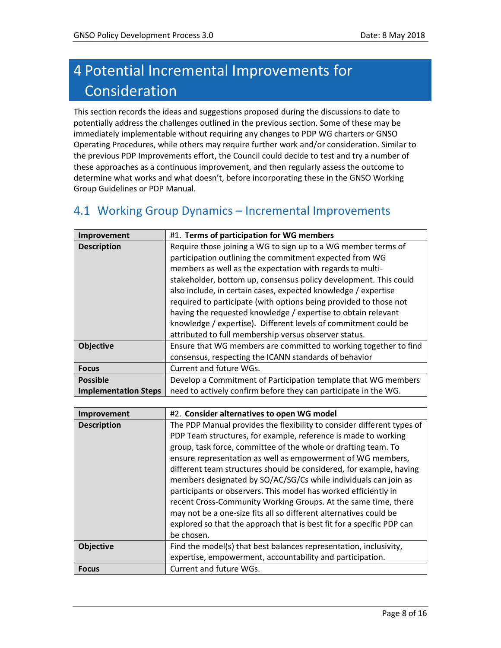# <span id="page-7-0"></span>4 Potential Incremental Improvements for Consideration

This section records the ideas and suggestions proposed during the discussions to date to potentially address the challenges outlined in the previous section. Some of these may be immediately implementable without requiring any changes to PDP WG charters or GNSO Operating Procedures, while others may require further work and/or consideration. Similar to the previous PDP Improvements effort, the Council could decide to test and try a number of these approaches as a continuous improvement, and then regularly assess the outcome to determine what works and what doesn't, before incorporating these in the GNSO Working Group Guidelines or PDP Manual.

#### <span id="page-7-1"></span>4.1 Working Group Dynamics – Incremental Improvements

| Improvement                 | #1. Terms of participation for WG members                         |
|-----------------------------|-------------------------------------------------------------------|
| <b>Description</b>          | Require those joining a WG to sign up to a WG member terms of     |
|                             | participation outlining the commitment expected from WG           |
|                             | members as well as the expectation with regards to multi-         |
|                             | stakeholder, bottom up, consensus policy development. This could  |
|                             | also include, in certain cases, expected knowledge / expertise    |
|                             | required to participate (with options being provided to those not |
|                             | having the requested knowledge / expertise to obtain relevant     |
|                             | knowledge / expertise). Different levels of commitment could be   |
|                             | attributed to full membership versus observer status.             |
| <b>Objective</b>            | Ensure that WG members are committed to working together to find  |
|                             | consensus, respecting the ICANN standards of behavior             |
| <b>Focus</b>                | Current and future WGs.                                           |
| <b>Possible</b>             | Develop a Commitment of Participation template that WG members    |
| <b>Implementation Steps</b> | need to actively confirm before they can participate in the WG.   |

| Improvement        | #2. Consider alternatives to open WG model                                                                                                                                                                                                                                                                                                                                                                                                                                                                                                                                                                                                                                                                           |
|--------------------|----------------------------------------------------------------------------------------------------------------------------------------------------------------------------------------------------------------------------------------------------------------------------------------------------------------------------------------------------------------------------------------------------------------------------------------------------------------------------------------------------------------------------------------------------------------------------------------------------------------------------------------------------------------------------------------------------------------------|
| <b>Description</b> | The PDP Manual provides the flexibility to consider different types of<br>PDP Team structures, for example, reference is made to working<br>group, task force, committee of the whole or drafting team. To<br>ensure representation as well as empowerment of WG members,<br>different team structures should be considered, for example, having<br>members designated by SO/AC/SG/Cs while individuals can join as<br>participants or observers. This model has worked efficiently in<br>recent Cross-Community Working Groups. At the same time, there<br>may not be a one-size fits all so different alternatives could be<br>explored so that the approach that is best fit for a specific PDP can<br>be chosen. |
| <b>Objective</b>   | Find the model(s) that best balances representation, inclusivity,<br>expertise, empowerment, accountability and participation.                                                                                                                                                                                                                                                                                                                                                                                                                                                                                                                                                                                       |
| <b>Focus</b>       | Current and future WGs.                                                                                                                                                                                                                                                                                                                                                                                                                                                                                                                                                                                                                                                                                              |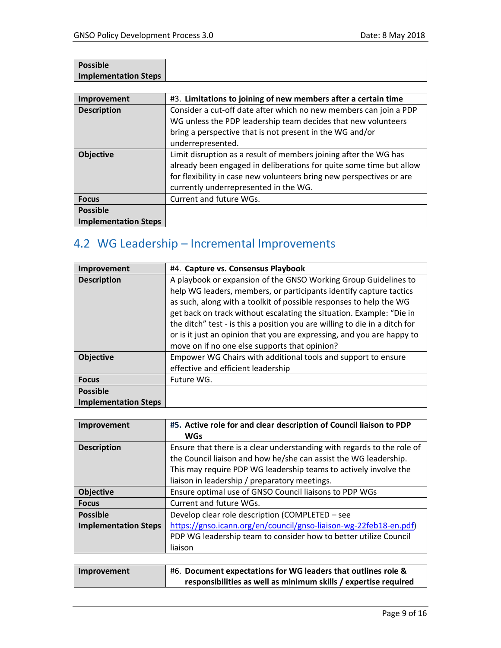| <b>Possible</b>      |  |
|----------------------|--|
| Implementation Steps |  |

| Improvement                 | #3. Limitations to joining of new members after a certain time       |
|-----------------------------|----------------------------------------------------------------------|
| <b>Description</b>          | Consider a cut-off date after which no new members can join a PDP    |
|                             | WG unless the PDP leadership team decides that new volunteers        |
|                             | bring a perspective that is not present in the WG and/or             |
|                             | underrepresented.                                                    |
| <b>Objective</b>            | Limit disruption as a result of members joining after the WG has     |
|                             | already been engaged in deliberations for quite some time but allow  |
|                             | for flexibility in case new volunteers bring new perspectives or are |
|                             | currently underrepresented in the WG.                                |
| <b>Focus</b>                | Current and future WGs.                                              |
| <b>Possible</b>             |                                                                      |
| <b>Implementation Steps</b> |                                                                      |

## <span id="page-8-0"></span>4.2 WG Leadership – Incremental Improvements

| Improvement                 | #4. Capture vs. Consensus Playbook                                         |
|-----------------------------|----------------------------------------------------------------------------|
| <b>Description</b>          | A playbook or expansion of the GNSO Working Group Guidelines to            |
|                             | help WG leaders, members, or participants identify capture tactics         |
|                             | as such, along with a toolkit of possible responses to help the WG         |
|                             | get back on track without escalating the situation. Example: "Die in       |
|                             | the ditch" test - is this a position you are willing to die in a ditch for |
|                             | or is it just an opinion that you are expressing, and you are happy to     |
|                             | move on if no one else supports that opinion?                              |
| <b>Objective</b>            | Empower WG Chairs with additional tools and support to ensure              |
|                             | effective and efficient leadership                                         |
| <b>Focus</b>                | Future WG.                                                                 |
| <b>Possible</b>             |                                                                            |
| <b>Implementation Steps</b> |                                                                            |

| #5. Active role for and clear description of Council liaison to PDP    |
|------------------------------------------------------------------------|
| <b>WGs</b>                                                             |
| Ensure that there is a clear understanding with regards to the role of |
| the Council liaison and how he/she can assist the WG leadership.       |
| This may require PDP WG leadership teams to actively involve the       |
| liaison in leadership / preparatory meetings.                          |
| Ensure optimal use of GNSO Council liaisons to PDP WGs                 |
| Current and future WGs.                                                |
| Develop clear role description (COMPLETED - see                        |
| https://gnso.icann.org/en/council/gnso-liaison-wg-22feb18-en.pdf)      |
| PDP WG leadership team to consider how to better utilize Council       |
| liaison                                                                |
|                                                                        |

| Improvement | #6. Document expectations for WG leaders that outlines role &   |
|-------------|-----------------------------------------------------------------|
|             | responsibilities as well as minimum skills / expertise required |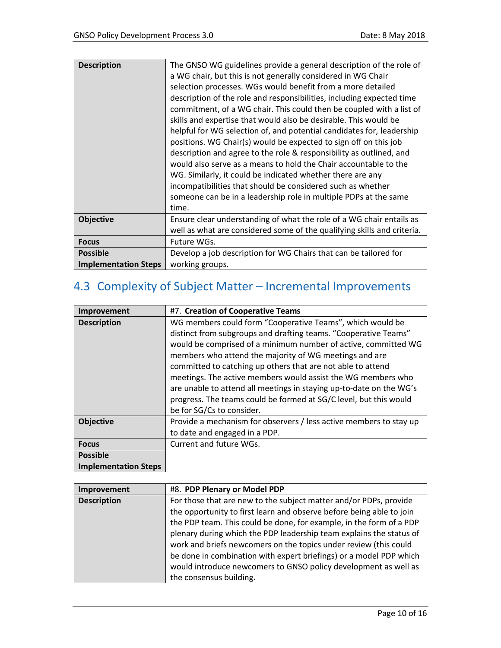| <b>Description</b>          | The GNSO WG guidelines provide a general description of the role of<br>a WG chair, but this is not generally considered in WG Chair<br>selection processes. WGs would benefit from a more detailed<br>description of the role and responsibilities, including expected time<br>commitment, of a WG chair. This could then be coupled with a list of<br>skills and expertise that would also be desirable. This would be<br>helpful for WG selection of, and potential candidates for, leadership<br>positions. WG Chair(s) would be expected to sign off on this job<br>description and agree to the role & responsibility as outlined, and<br>would also serve as a means to hold the Chair accountable to the<br>WG. Similarly, it could be indicated whether there are any<br>incompatibilities that should be considered such as whether<br>someone can be in a leadership role in multiple PDPs at the same<br>time. |
|-----------------------------|---------------------------------------------------------------------------------------------------------------------------------------------------------------------------------------------------------------------------------------------------------------------------------------------------------------------------------------------------------------------------------------------------------------------------------------------------------------------------------------------------------------------------------------------------------------------------------------------------------------------------------------------------------------------------------------------------------------------------------------------------------------------------------------------------------------------------------------------------------------------------------------------------------------------------|
| <b>Objective</b>            | Ensure clear understanding of what the role of a WG chair entails as                                                                                                                                                                                                                                                                                                                                                                                                                                                                                                                                                                                                                                                                                                                                                                                                                                                      |
|                             | well as what are considered some of the qualifying skills and criteria.                                                                                                                                                                                                                                                                                                                                                                                                                                                                                                                                                                                                                                                                                                                                                                                                                                                   |
| <b>Focus</b>                | Future WGs.                                                                                                                                                                                                                                                                                                                                                                                                                                                                                                                                                                                                                                                                                                                                                                                                                                                                                                               |
| <b>Possible</b>             | Develop a job description for WG Chairs that can be tailored for                                                                                                                                                                                                                                                                                                                                                                                                                                                                                                                                                                                                                                                                                                                                                                                                                                                          |
| <b>Implementation Steps</b> | working groups.                                                                                                                                                                                                                                                                                                                                                                                                                                                                                                                                                                                                                                                                                                                                                                                                                                                                                                           |

## <span id="page-9-0"></span>4.3 Complexity of Subject Matter – Incremental Improvements

| Improvement                 | #7. Creation of Cooperative Teams                                                                                                                                                                                                                                                                                                                                                                                                                                                                                                                                |
|-----------------------------|------------------------------------------------------------------------------------------------------------------------------------------------------------------------------------------------------------------------------------------------------------------------------------------------------------------------------------------------------------------------------------------------------------------------------------------------------------------------------------------------------------------------------------------------------------------|
| <b>Description</b>          | WG members could form "Cooperative Teams", which would be<br>distinct from subgroups and drafting teams. "Cooperative Teams"<br>would be comprised of a minimum number of active, committed WG<br>members who attend the majority of WG meetings and are<br>committed to catching up others that are not able to attend<br>meetings. The active members would assist the WG members who<br>are unable to attend all meetings in staying up-to-date on the WG's<br>progress. The teams could be formed at SG/C level, but this would<br>be for SG/Cs to consider. |
| <b>Objective</b>            | Provide a mechanism for observers / less active members to stay up<br>to date and engaged in a PDP.                                                                                                                                                                                                                                                                                                                                                                                                                                                              |
| <b>Focus</b>                | Current and future WGs.                                                                                                                                                                                                                                                                                                                                                                                                                                                                                                                                          |
| <b>Possible</b>             |                                                                                                                                                                                                                                                                                                                                                                                                                                                                                                                                                                  |
| <b>Implementation Steps</b> |                                                                                                                                                                                                                                                                                                                                                                                                                                                                                                                                                                  |

| Improvement        | #8. PDP Plenary or Model PDP                                         |
|--------------------|----------------------------------------------------------------------|
| <b>Description</b> | For those that are new to the subject matter and/or PDPs, provide    |
|                    | the opportunity to first learn and observe before being able to join |
|                    | the PDP team. This could be done, for example, in the form of a PDP  |
|                    | plenary during which the PDP leadership team explains the status of  |
|                    | work and briefs newcomers on the topics under review (this could     |
|                    | be done in combination with expert briefings) or a model PDP which   |
|                    | would introduce newcomers to GNSO policy development as well as      |
|                    | the consensus building.                                              |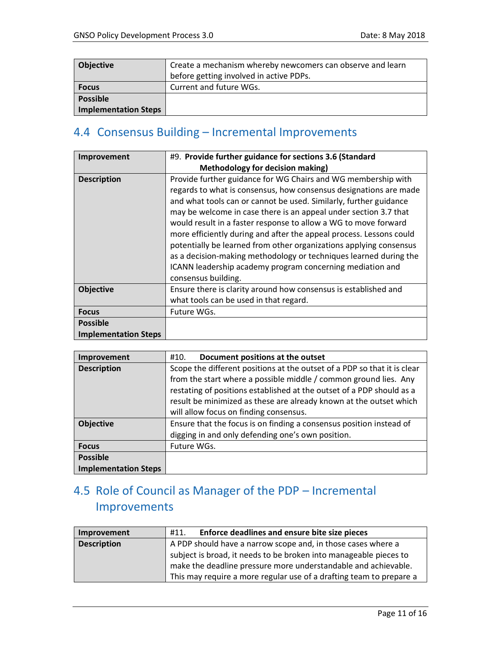| <b>Objective</b>            | Create a mechanism whereby newcomers can observe and learn |
|-----------------------------|------------------------------------------------------------|
|                             | before getting involved in active PDPs.                    |
| <b>Focus</b>                | Current and future WGs.                                    |
| <b>Possible</b>             |                                                            |
| <b>Implementation Steps</b> |                                                            |

#### <span id="page-10-0"></span>4.4 Consensus Building – Incremental Improvements

| <b>Improvement</b>          | #9. Provide further guidance for sections 3.6 (Standard                                                                                                                                                                                                                                                                                                                                                                                                                                                                                                                                                                                              |
|-----------------------------|------------------------------------------------------------------------------------------------------------------------------------------------------------------------------------------------------------------------------------------------------------------------------------------------------------------------------------------------------------------------------------------------------------------------------------------------------------------------------------------------------------------------------------------------------------------------------------------------------------------------------------------------------|
|                             | <b>Methodology for decision making)</b>                                                                                                                                                                                                                                                                                                                                                                                                                                                                                                                                                                                                              |
| <b>Description</b>          | Provide further guidance for WG Chairs and WG membership with<br>regards to what is consensus, how consensus designations are made<br>and what tools can or cannot be used. Similarly, further guidance<br>may be welcome in case there is an appeal under section 3.7 that<br>would result in a faster response to allow a WG to move forward<br>more efficiently during and after the appeal process. Lessons could<br>potentially be learned from other organizations applying consensus<br>as a decision-making methodology or techniques learned during the<br>ICANN leadership academy program concerning mediation and<br>consensus building. |
| <b>Objective</b>            | Ensure there is clarity around how consensus is established and<br>what tools can be used in that regard.                                                                                                                                                                                                                                                                                                                                                                                                                                                                                                                                            |
| <b>Focus</b>                | Future WGs.                                                                                                                                                                                                                                                                                                                                                                                                                                                                                                                                                                                                                                          |
| <b>Possible</b>             |                                                                                                                                                                                                                                                                                                                                                                                                                                                                                                                                                                                                                                                      |
| <b>Implementation Steps</b> |                                                                                                                                                                                                                                                                                                                                                                                                                                                                                                                                                                                                                                                      |

| Improvement                 | Document positions at the outset<br>#10.                                 |
|-----------------------------|--------------------------------------------------------------------------|
| <b>Description</b>          | Scope the different positions at the outset of a PDP so that it is clear |
|                             | from the start where a possible middle / common ground lies. Any         |
|                             | restating of positions established at the outset of a PDP should as a    |
|                             | result be minimized as these are already known at the outset which       |
|                             | will allow focus on finding consensus.                                   |
| <b>Objective</b>            | Ensure that the focus is on finding a consensus position instead of      |
|                             | digging in and only defending one's own position.                        |
| <b>Focus</b>                | Future WGs.                                                              |
| <b>Possible</b>             |                                                                          |
| <b>Implementation Steps</b> |                                                                          |

### <span id="page-10-1"></span>4.5 Role of Council as Manager of the PDP – Incremental Improvements

| Improvement        | Enforce deadlines and ensure bite size pieces<br>#11.               |
|--------------------|---------------------------------------------------------------------|
| <b>Description</b> | A PDP should have a narrow scope and, in those cases where a        |
|                    | subject is broad, it needs to be broken into manageable pieces to   |
|                    | make the deadline pressure more understandable and achievable.      |
|                    | This may require a more regular use of a drafting team to prepare a |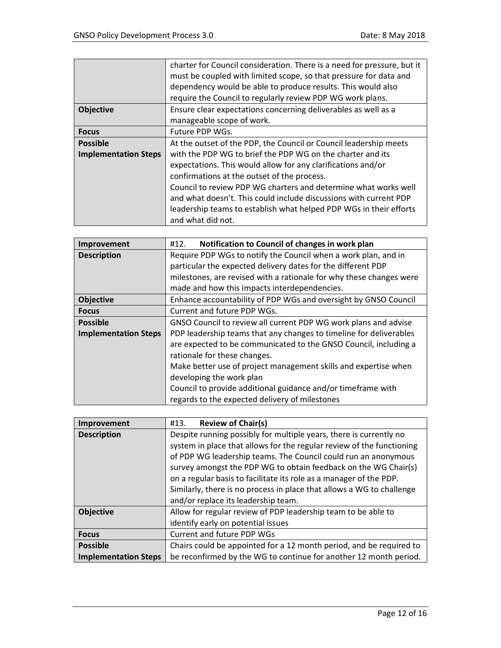|                             | charter for Council consideration. There is a need for pressure, but it |
|-----------------------------|-------------------------------------------------------------------------|
|                             | must be coupled with limited scope, so that pressure for data and       |
|                             | dependency would be able to produce results. This would also            |
|                             | require the Council to regularly review PDP WG work plans.              |
| <b>Objective</b>            | Ensure clear expectations concerning deliverables as well as a          |
|                             | manageable scope of work.                                               |
| <b>Focus</b>                | Future PDP WGs.                                                         |
| <b>Possible</b>             | At the outset of the PDP, the Council or Council leadership meets       |
| <b>Implementation Steps</b> | with the PDP WG to brief the PDP WG on the charter and its              |
|                             | expectations. This would allow for any clarifications and/or            |
|                             | confirmations at the outset of the process.                             |
|                             | Council to review PDP WG charters and determine what works well         |
|                             | and what doesn't. This could include discussions with current PDP       |
|                             | leadership teams to establish what helped PDP WGs in their efforts      |
|                             | and what did not.                                                       |

| Improvement                 | Notification to Council of changes in work plan<br>#12.             |
|-----------------------------|---------------------------------------------------------------------|
| <b>Description</b>          | Require PDP WGs to notify the Council when a work plan, and in      |
|                             | particular the expected delivery dates for the different PDP        |
|                             | milestones, are revised with a rationale for why these changes were |
|                             | made and how this impacts interdependencies.                        |
| <b>Objective</b>            | Enhance accountability of PDP WGs and oversight by GNSO Council     |
| <b>Focus</b>                | Current and future PDP WGs.                                         |
| <b>Possible</b>             | GNSO Council to review all current PDP WG work plans and advise     |
| <b>Implementation Steps</b> | PDP leadership teams that any changes to timeline for deliverables  |
|                             | are expected to be communicated to the GNSO Council, including a    |
|                             | rationale for these changes.                                        |
|                             | Make better use of project management skills and expertise when     |
|                             | developing the work plan                                            |
|                             | Council to provide additional guidance and/or timeframe with        |
|                             | regards to the expected delivery of milestones                      |

| Improvement                 | <b>Review of Chair(s)</b><br>#13.                                     |
|-----------------------------|-----------------------------------------------------------------------|
| <b>Description</b>          | Despite running possibly for multiple years, there is currently no    |
|                             | system in place that allows for the regular review of the functioning |
|                             | of PDP WG leadership teams. The Council could run an anonymous        |
|                             | survey amongst the PDP WG to obtain feedback on the WG Chair(s)       |
|                             | on a regular basis to facilitate its role as a manager of the PDP.    |
|                             | Similarly, there is no process in place that allows a WG to challenge |
|                             | and/or replace its leadership team.                                   |
| <b>Objective</b>            | Allow for regular review of PDP leadership team to be able to         |
|                             | identify early on potential issues                                    |
| <b>Focus</b>                | Current and future PDP WGs                                            |
| <b>Possible</b>             | Chairs could be appointed for a 12 month period, and be required to   |
| <b>Implementation Steps</b> | be reconfirmed by the WG to continue for another 12 month period.     |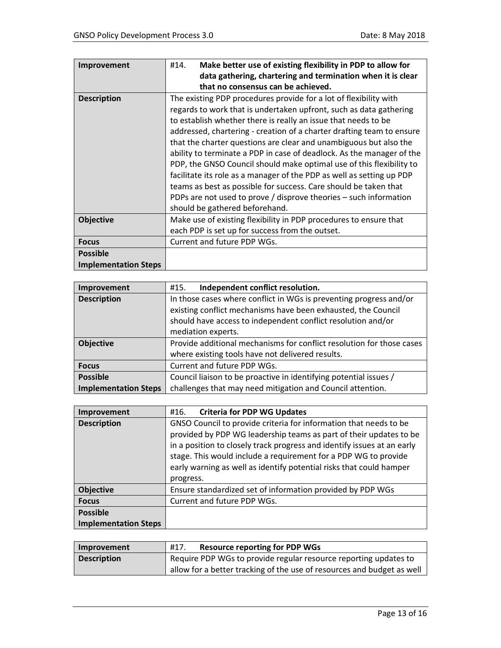| <b>Improvement</b>          | Make better use of existing flexibility in PDP to allow for<br>#14.   |
|-----------------------------|-----------------------------------------------------------------------|
|                             | data gathering, chartering and termination when it is clear           |
|                             | that no consensus can be achieved.                                    |
| <b>Description</b>          | The existing PDP procedures provide for a lot of flexibility with     |
|                             | regards to work that is undertaken upfront, such as data gathering    |
|                             | to establish whether there is really an issue that needs to be        |
|                             | addressed, chartering - creation of a charter drafting team to ensure |
|                             | that the charter questions are clear and unambiguous but also the     |
|                             | ability to terminate a PDP in case of deadlock. As the manager of the |
|                             | PDP, the GNSO Council should make optimal use of this flexibility to  |
|                             | facilitate its role as a manager of the PDP as well as setting up PDP |
|                             | teams as best as possible for success. Care should be taken that      |
|                             | PDPs are not used to prove / disprove theories – such information     |
|                             | should be gathered beforehand.                                        |
| <b>Objective</b>            | Make use of existing flexibility in PDP procedures to ensure that     |
|                             | each PDP is set up for success from the outset.                       |
| <b>Focus</b>                | Current and future PDP WGs.                                           |
| <b>Possible</b>             |                                                                       |
| <b>Implementation Steps</b> |                                                                       |

| Improvement                 | Independent conflict resolution.<br>#15.                              |
|-----------------------------|-----------------------------------------------------------------------|
| <b>Description</b>          | In those cases where conflict in WGs is preventing progress and/or    |
|                             | existing conflict mechanisms have been exhausted, the Council         |
|                             | should have access to independent conflict resolution and/or          |
|                             | mediation experts.                                                    |
| <b>Objective</b>            | Provide additional mechanisms for conflict resolution for those cases |
|                             | where existing tools have not delivered results.                      |
| <b>Focus</b>                | Current and future PDP WGs.                                           |
| <b>Possible</b>             | Council liaison to be proactive in identifying potential issues /     |
| <b>Implementation Steps</b> | challenges that may need mitigation and Council attention.            |

| Improvement                 | <b>Criteria for PDP WG Updates</b><br>#16.                              |
|-----------------------------|-------------------------------------------------------------------------|
| <b>Description</b>          | GNSO Council to provide criteria for information that needs to be       |
|                             | provided by PDP WG leadership teams as part of their updates to be      |
|                             | in a position to closely track progress and identify issues at an early |
|                             | stage. This would include a requirement for a PDP WG to provide         |
|                             | early warning as well as identify potential risks that could hamper     |
|                             | progress.                                                               |
| <b>Objective</b>            | Ensure standardized set of information provided by PDP WGs              |
| <b>Focus</b>                | Current and future PDP WGs.                                             |
| <b>Possible</b>             |                                                                         |
| <b>Implementation Steps</b> |                                                                         |

| Improvement        | <b>Resource reporting for PDP WGs</b><br>#17.                          |
|--------------------|------------------------------------------------------------------------|
| <b>Description</b> | Require PDP WGs to provide regular resource reporting updates to       |
|                    | allow for a better tracking of the use of resources and budget as well |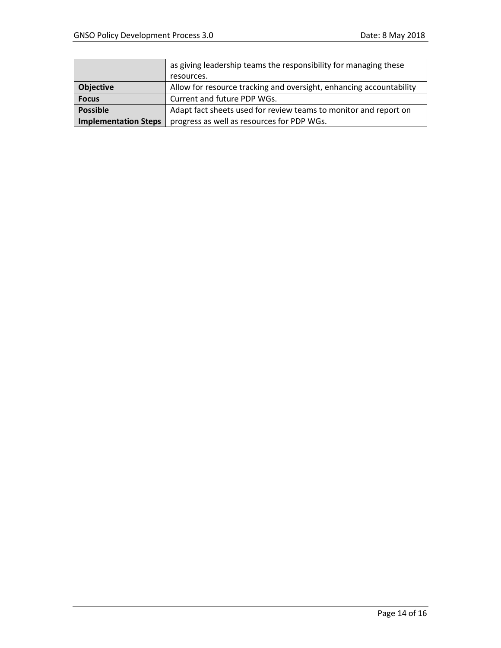|                             | as giving leadership teams the responsibility for managing these    |
|-----------------------------|---------------------------------------------------------------------|
|                             | resources.                                                          |
| <b>Objective</b>            | Allow for resource tracking and oversight, enhancing accountability |
| <b>Focus</b>                | Current and future PDP WGs.                                         |
| <b>Possible</b>             | Adapt fact sheets used for review teams to monitor and report on    |
| <b>Implementation Steps</b> | progress as well as resources for PDP WGs.                          |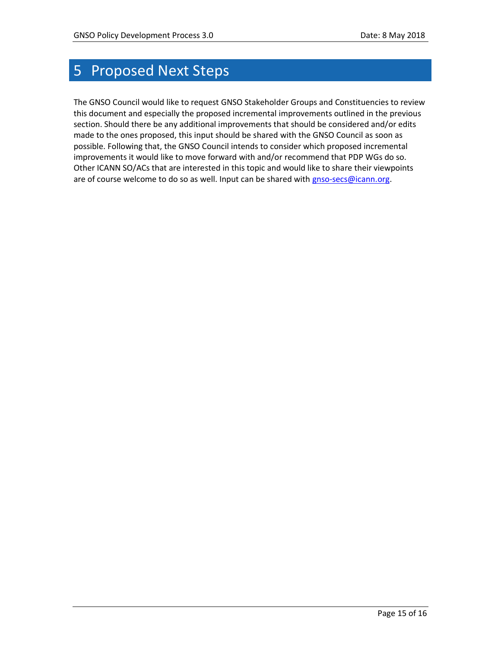# <span id="page-14-0"></span>5 Proposed Next Steps

The GNSO Council would like to request GNSO Stakeholder Groups and Constituencies to review this document and especially the proposed incremental improvements outlined in the previous section. Should there be any additional improvements that should be considered and/or edits made to the ones proposed, this input should be shared with the GNSO Council as soon as possible. Following that, the GNSO Council intends to consider which proposed incremental improvements it would like to move forward with and/or recommend that PDP WGs do so. Other ICANN SO/ACs that are interested in this topic and would like to share their viewpoints are of course welcome to do so as well. Input can be shared with [gnso-secs@icann.org.](mailto:gnso-secs@icann.org)